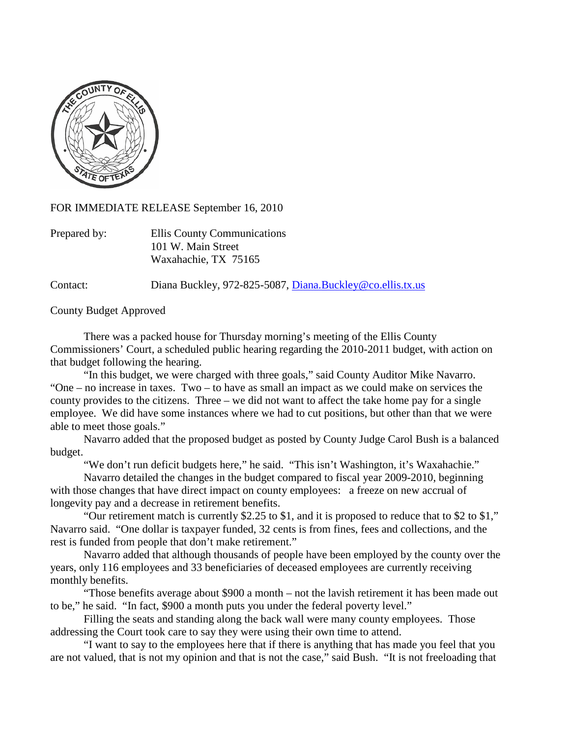

FOR IMMEDIATE RELEASE September 16, 2010

| Prepared by: | Ellis County Communications |
|--------------|-----------------------------|
|              | 101 W. Main Street          |
|              | Waxahachie, TX 75165        |

Contact: Diana Buckley, 972-825-5087, [Diana.Buckley@co.ellis.tx.us](mailto:Diana.Buckley@co.ellis.tx.us)

County Budget Approved

There was a packed house for Thursday morning's meeting of the Ellis County Commissioners' Court, a scheduled public hearing regarding the 2010-2011 budget, with action on that budget following the hearing.

"In this budget, we were charged with three goals," said County Auditor Mike Navarro. "One – no increase in taxes. Two – to have as small an impact as we could make on services the county provides to the citizens. Three – we did not want to affect the take home pay for a single employee. We did have some instances where we had to cut positions, but other than that we were able to meet those goals."

Navarro added that the proposed budget as posted by County Judge Carol Bush is a balanced budget.

"We don't run deficit budgets here," he said. "This isn't Washington, it's Waxahachie."

Navarro detailed the changes in the budget compared to fiscal year 2009-2010, beginning with those changes that have direct impact on county employees: a freeze on new accrual of longevity pay and a decrease in retirement benefits.

"Our retirement match is currently \$2.25 to \$1, and it is proposed to reduce that to \$2 to \$1," Navarro said. "One dollar is taxpayer funded, 32 cents is from fines, fees and collections, and the rest is funded from people that don't make retirement."

Navarro added that although thousands of people have been employed by the county over the years, only 116 employees and 33 beneficiaries of deceased employees are currently receiving monthly benefits.

"Those benefits average about \$900 a month – not the lavish retirement it has been made out to be," he said. "In fact, \$900 a month puts you under the federal poverty level."

Filling the seats and standing along the back wall were many county employees. Those addressing the Court took care to say they were using their own time to attend.

"I want to say to the employees here that if there is anything that has made you feel that you are not valued, that is not my opinion and that is not the case," said Bush. "It is not freeloading that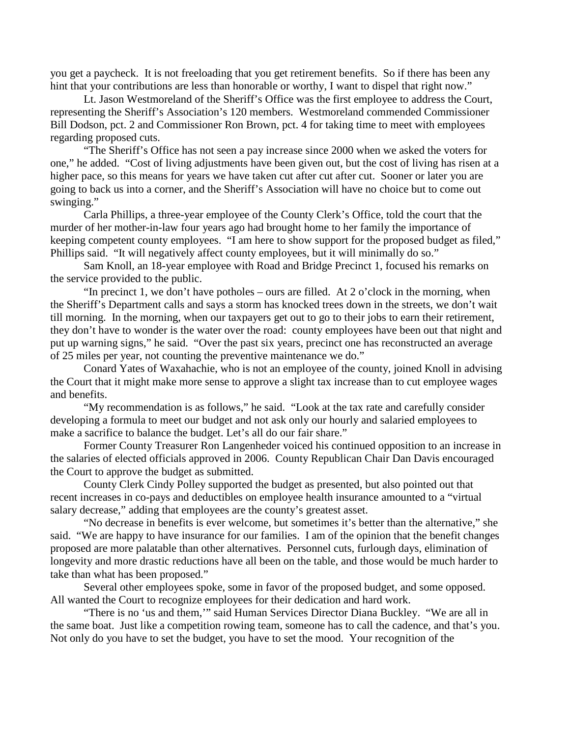you get a paycheck. It is not freeloading that you get retirement benefits. So if there has been any hint that your contributions are less than honorable or worthy, I want to dispel that right now."

Lt. Jason Westmoreland of the Sheriff's Office was the first employee to address the Court, representing the Sheriff's Association's 120 members. Westmoreland commended Commissioner Bill Dodson, pct. 2 and Commissioner Ron Brown, pct. 4 for taking time to meet with employees regarding proposed cuts.

"The Sheriff's Office has not seen a pay increase since 2000 when we asked the voters for one," he added. "Cost of living adjustments have been given out, but the cost of living has risen at a higher pace, so this means for years we have taken cut after cut after cut. Sooner or later you are going to back us into a corner, and the Sheriff's Association will have no choice but to come out swinging."

Carla Phillips, a three-year employee of the County Clerk's Office, told the court that the murder of her mother-in-law four years ago had brought home to her family the importance of keeping competent county employees. "I am here to show support for the proposed budget as filed," Phillips said. "It will negatively affect county employees, but it will minimally do so."

Sam Knoll, an 18-year employee with Road and Bridge Precinct 1, focused his remarks on the service provided to the public.

"In precinct 1, we don't have potholes – ours are filled. At 2 o'clock in the morning, when the Sheriff's Department calls and says a storm has knocked trees down in the streets, we don't wait till morning. In the morning, when our taxpayers get out to go to their jobs to earn their retirement, they don't have to wonder is the water over the road: county employees have been out that night and put up warning signs," he said. "Over the past six years, precinct one has reconstructed an average of 25 miles per year, not counting the preventive maintenance we do."

Conard Yates of Waxahachie, who is not an employee of the county, joined Knoll in advising the Court that it might make more sense to approve a slight tax increase than to cut employee wages and benefits.

"My recommendation is as follows," he said. "Look at the tax rate and carefully consider developing a formula to meet our budget and not ask only our hourly and salaried employees to make a sacrifice to balance the budget. Let's all do our fair share."

Former County Treasurer Ron Langenheder voiced his continued opposition to an increase in the salaries of elected officials approved in 2006. County Republican Chair Dan Davis encouraged the Court to approve the budget as submitted.

County Clerk Cindy Polley supported the budget as presented, but also pointed out that recent increases in co-pays and deductibles on employee health insurance amounted to a "virtual salary decrease," adding that employees are the county's greatest asset.

"No decrease in benefits is ever welcome, but sometimes it's better than the alternative," she said. "We are happy to have insurance for our families. I am of the opinion that the benefit changes proposed are more palatable than other alternatives. Personnel cuts, furlough days, elimination of longevity and more drastic reductions have all been on the table, and those would be much harder to take than what has been proposed."

Several other employees spoke, some in favor of the proposed budget, and some opposed. All wanted the Court to recognize employees for their dedication and hard work.

"There is no 'us and them,'" said Human Services Director Diana Buckley. "We are all in the same boat. Just like a competition rowing team, someone has to call the cadence, and that's you. Not only do you have to set the budget, you have to set the mood. Your recognition of the